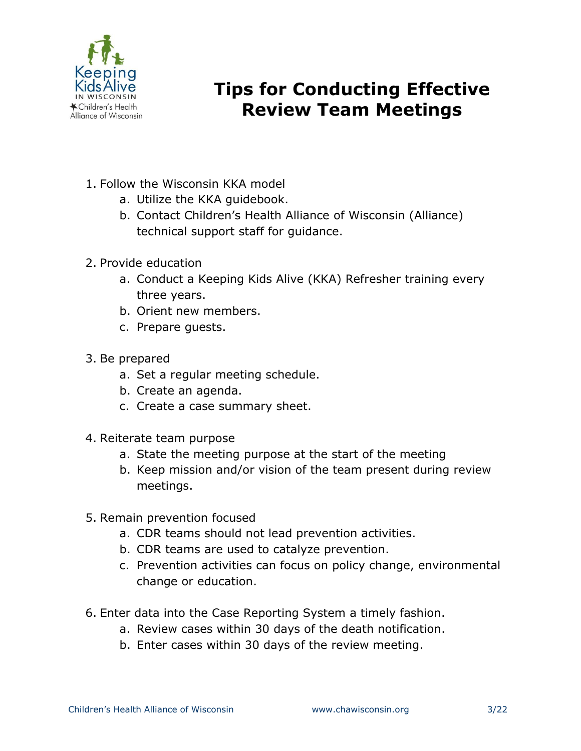

## **Tips for Conducting Effective Review Team Meetings**

- 1. Follow the Wisconsin KKA model
	- a. Utilize the KKA guidebook.
	- b. Contact Children's Health Alliance of Wisconsin (Alliance) technical support staff for guidance.
- 2. Provide education
	- a. Conduct a Keeping Kids Alive (KKA) Refresher training every three years.
	- b. Orient new members.
	- c. Prepare guests.
- 3. Be prepared
	- a. Set a regular meeting schedule.
	- b. Create an agenda.
	- c. Create a case summary sheet.
- 4. Reiterate team purpose
	- a. State the meeting purpose at the start of the meeting
	- b. Keep mission and/or vision of the team present during review meetings.
- 5. Remain prevention focused
	- a. CDR teams should not lead prevention activities.
	- b. CDR teams are used to catalyze prevention.
	- c. Prevention activities can focus on policy change, environmental change or education.
- 6. Enter data into the Case Reporting System a timely fashion.
	- a. Review cases within 30 days of the death notification.
	- b. Enter cases within 30 days of the review meeting.